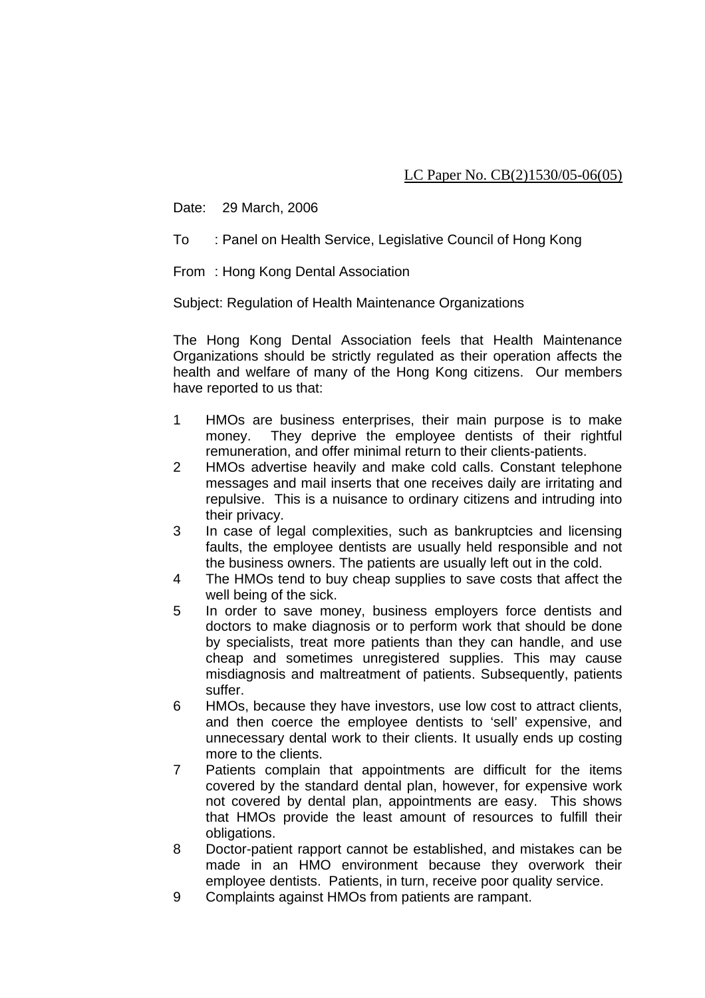Date: 29 March, 2006

To : Panel on Health Service, Legislative Council of Hong Kong

From : Hong Kong Dental Association

Subject: Regulation of Health Maintenance Organizations

The Hong Kong Dental Association feels that Health Maintenance Organizations should be strictly regulated as their operation affects the health and welfare of many of the Hong Kong citizens. Our members have reported to us that:

- 1 HMOs are business enterprises, their main purpose is to make money. They deprive the employee dentists of their rightful remuneration, and offer minimal return to their clients-patients.
- 2 HMOs advertise heavily and make cold calls. Constant telephone messages and mail inserts that one receives daily are irritating and repulsive. This is a nuisance to ordinary citizens and intruding into their privacy.
- 3 In case of legal complexities, such as bankruptcies and licensing faults, the employee dentists are usually held responsible and not the business owners. The patients are usually left out in the cold.
- 4 The HMOs tend to buy cheap supplies to save costs that affect the well being of the sick.
- 5 In order to save money, business employers force dentists and doctors to make diagnosis or to perform work that should be done by specialists, treat more patients than they can handle, and use cheap and sometimes unregistered supplies. This may cause misdiagnosis and maltreatment of patients. Subsequently, patients suffer.
- 6 HMOs, because they have investors, use low cost to attract clients, and then coerce the employee dentists to 'sell' expensive, and unnecessary dental work to their clients. It usually ends up costing more to the clients.
- 7 Patients complain that appointments are difficult for the items covered by the standard dental plan, however, for expensive work not covered by dental plan, appointments are easy. This shows that HMOs provide the least amount of resources to fulfill their obligations.
- 8 Doctor-patient rapport cannot be established, and mistakes can be made in an HMO environment because they overwork their employee dentists. Patients, in turn, receive poor quality service.
- 9 Complaints against HMOs from patients are rampant.